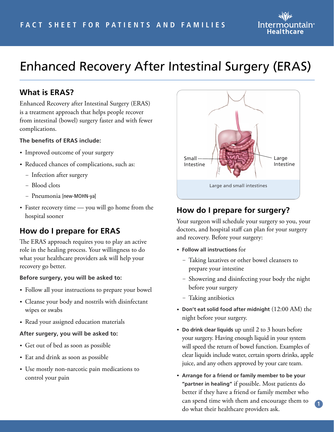

# Enhanced Recovery After Intestinal Surgery (ERAS)

### **What is ERAS?**

Enhanced Recovery after Intestinal Surgery (ERAS) is a treatment approach that helps people recover from intestinal (bowel) surgery faster and with fewer complications.

#### **The benefits of ERAS include:**

- Improved outcome of your surgery
- Reduced chances of complications, such as:
	- Infection after surgery
	- Blood clots
	- Pneumonia [new-MOHN-ya]
- Faster recovery time you will go home from the hospital sooner

# **How do I prepare for ERAS**

The ERAS approach requires you to play an active role in the healing process. Your willingness to do what your healthcare providers ask will help your recovery go better.

#### **Before surgery, you will be asked to:**

- Follow all your instructions to prepare your bowel
- Cleanse your body and nostrils with disinfectant wipes or swabs
- Read your assigned education materials

#### **After surgery, you will be asked to:**

- Get out of bed as soon as possible
- Eat and drink as soon as possible
- Use mostly non-narcotic pain medications to control your pain



# **How do I prepare for surgery?**

Your surgeon will schedule your surgery so you, your doctors, and hospital staff can plan for your surgery and recovery. Before your surgery:

- **Follow all instructions** for
	- Taking laxatives or other bowel cleansers to prepare your intestine
	- Showering and disinfecting your body the night before your surgery
	- Taking antibiotics
- **Don't eat solid food after midnight** (12:00 AM) the night before your surgery.
- **Do drink clear liquids** up until 2 to 3 hours before your surgery. Having enough liquid in your system will speed the return of bowel function. Examples of clear liquids include water, certain sports drinks, apple juice, and any others approved by your care team.
- **Arrange for a friend or family member to be your "partner in healing"** if possible. Most patients do better if they have a friend or family member who can spend time with them and encourage them to do what their healthcare providers ask.

**1**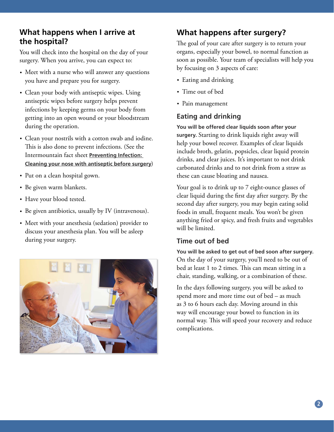### **What happens when I arrive at the hospital?**

You will check into the hospital on the day of your surgery. When you arrive, you can expect to:

- Meet with a nurse who will answer any questions you have and prepare you for surgery.
- Clean your body with antiseptic wipes. Using antiseptic wipes before surgery helps prevent infections by keeping germs on your body from getting into an open wound or your bloodstream during the operation.
- Clean your nostrils with a cotton swab and iodine. This is also done to prevent infections. (See the Intermountain fact sheet **[Preventing Infection:](https://intermountainphysician.org/_layouts/Custom/KnowledgeRepository/KrDocumentFetch.aspx?target=document&ncid=529480120&tfrm=default)  [Cleaning your nose with antiseptic before](https://intermountainphysician.org/_layouts/Custom/KnowledgeRepository/KrDocumentFetch.aspx?target=document&ncid=529480120&tfrm=default) surgery**)
- Put on a clean hospital gown.
- Be given warm blankets.
- Have your blood tested.
- Be given antibiotics, usually by IV (intravenous).
- Meet with your anesthesia (sedation) provider to discuss your anesthesia plan. You will be asleep during your surgery.



# **What happens after surgery?**

The goal of your care after surgery is to return your organs, especially your bowel, to normal function as soon as possible. Your team of specialists will help you by focusing on 3 aspects of care:

- Eating and drinking
- Time out of bed
- Pain management

### **Eating and drinking**

**You will be offered clear liquids soon after your surgery.** Starting to drink liquids right away will help your bowel recover. Examples of clear liquids include broth, gelatin, popsicles, clear liquid protein drinks, and clear juices. It's important to not drink carbonated drinks and to not drink from a straw as these can cause bloating and nausea.

Your goal is to drink up to 7 eight-ounce glasses of clear liquid during the first day after surgery. By the second day after surgery, you may begin eating solid foods in small, frequent meals. You won't be given anything fried or spicy, and fresh fruits and vegetables will be limited.

#### **Time out of bed**

**You will be asked to get out of bed soon after surgery.**  On the day of your surgery, you'll need to be out of bed at least 1 to 2 times. This can mean sitting in a chair, standing, walking, or a combination of these.

In the days following surgery, you will be asked to spend more and more time out of bed – as much as 3 to 6 hours each day. Moving around in this way will encourage your bowel to function in its normal way. This will speed your recovery and reduce complications.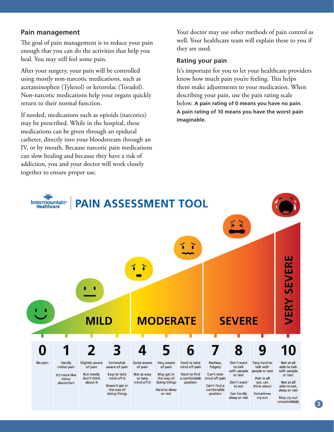#### **Pain management**

The goal of pain management is to reduce your pain enough that you can do the activities that help you heal. You may still feel some pain.

After your surgery, your pain will be controlled using mostly non-narcotic medications, such as acetaminophen (Tylenol) or ketorolac (Toradol). Non-narcotic medications help your organs quickly return to their normal function.

If needed, medications such as opioids (narcotics) may be prescribed. While in the hospital, these medications can be given through an epidural catheter, directly into your bloodstream through an IV, or by mouth. Because narcotic pain medications can slow healing and because they have a risk of addiction, you and your doctor will work closely together to ensure proper use.

Your doctor may use other methods of pain control as well. Your healthcare team will explain these to you if they are used.

#### **Rating your pain**

It's important for you to let your healthcare providers know how much pain you're feeling. This helps them make adjustments to your medication. When describing your pain, use the pain rating scale below. **A pain rating of 0 means you have no pain. A pain rating of 10 means you have the worst pain imaginable.**